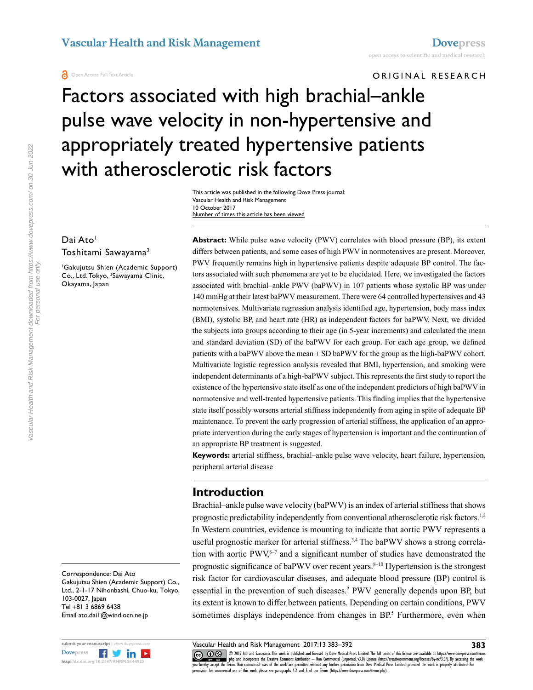ORIGINAL RESEARCH

# Factors associated with high brachial–ankle pulse wave velocity in non-hypertensive and appropriately treated hypertensive patients with atherosclerotic risk factors

This article was published in the following Dove Press journal: Vascular Health and Risk Management 10 October 2017 Number of times this article has been viewed

# Dai Ato<sup>1</sup> Toshitami Sawayama2

1 Gakujutsu Shien (Academic Support) Co., Ltd. Tokyo, <sup>2</sup>Sawayama Clinic, Okayama, Japan

**Abstract:** While pulse wave velocity (PWV) correlates with blood pressure (BP), its extent differs between patients, and some cases of high PWV in normotensives are present. Moreover, PWV frequently remains high in hypertensive patients despite adequate BP control. The factors associated with such phenomena are yet to be elucidated. Here, we investigated the factors associated with brachial–ankle PWV (baPWV) in 107 patients whose systolic BP was under 140 mmHg at their latest baPWV measurement. There were 64 controlled hypertensives and 43 normotensives. Multivariate regression analysis identified age, hypertension, body mass index (BMI), systolic BP, and heart rate (HR) as independent factors for baPWV. Next, we divided the subjects into groups according to their age (in 5-year increments) and calculated the mean and standard deviation (SD) of the baPWV for each group. For each age group, we defined patients with a baPWV above the mean + SD baPWV for the group as the high-baPWV cohort. Multivariate logistic regression analysis revealed that BMI, hypertension, and smoking were independent determinants of a high-baPWV subject. This represents the first study to report the existence of the hypertensive state itself as one of the independent predictors of high baPWV in normotensive and well-treated hypertensive patients. This finding implies that the hypertensive state itself possibly worsens arterial stiffness independently from aging in spite of adequate BP maintenance. To prevent the early progression of arterial stiffness, the application of an appropriate intervention during the early stages of hypertension is important and the continuation of an appropriate BP treatment is suggested.

**Keywords:** arterial stiffness, brachial–ankle pulse wave velocity, heart failure, hypertension, peripheral arterial disease

# **Introduction**

Brachial–ankle pulse wave velocity (baPWV) is an index of arterial stiffness that shows prognostic predictability independently from conventional atherosclerotic risk factors.<sup>1,2</sup> In Western countries, evidence is mounting to indicate that aortic PWV represents a useful prognostic marker for arterial stiffness.<sup>3,4</sup> The baPWV shows a strong correlation with aortic PWV.<sup>5–7</sup> and a significant number of studies have demonstrated the prognostic significance of baPWV over recent years.  $8-10$  Hypertension is the strongest risk factor for cardiovascular diseases, and adequate blood pressure (BP) control is essential in the prevention of such diseases.<sup>2</sup> PWV generally depends upon BP, but its extent is known to differ between patients. Depending on certain conditions, PWV sometimes displays independence from changes in BP.<sup>5</sup> Furthermore, even when

Correspondence: Dai Ato Gakujutsu Shien (Academic Support) Co., Ltd., 2-1-17 Nihonbashi, Chuo-ku, Tokyo, 103-0027, Japan Tel +81 3 6869 6438 Email ato.dai1@wind.ocn.ne.jp



Vascular Health and Risk Management 2017:13 383–392

CO ODI7 Ato and Sawayama. This work is published and licensed by Dove Medical Press Limited. The full terms of this license are available at https://www.dovepress.com/terms.<br>You hereby accept the Terms Mon-commetrial uses permission for commercial use of this work, please see paragraphs 4.2 and 5 of our Terms (https://www.dovepress.com/terms.php).

**383**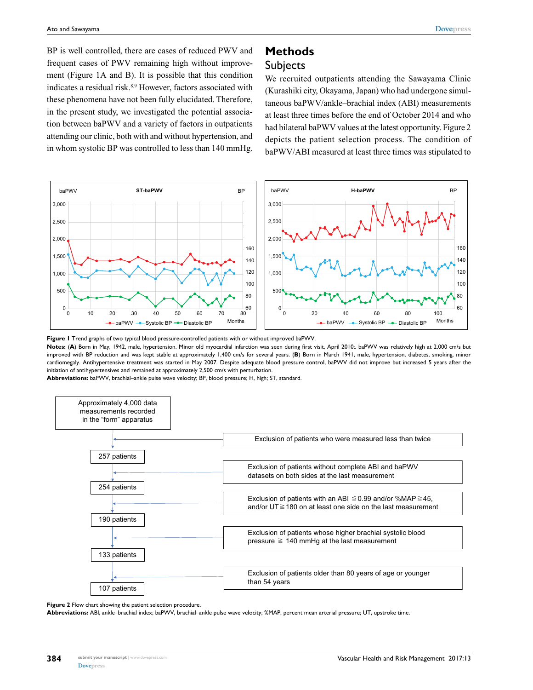BP is well controlled, there are cases of reduced PWV and frequent cases of PWV remaining high without improvement (Figure 1A and B). It is possible that this condition indicates a residual risk.<sup>8,9</sup> However, factors associated with these phenomena have not been fully elucidated. Therefore, in the present study, we investigated the potential association between baPWV and a variety of factors in outpatients attending our clinic, both with and without hypertension, and in whom systolic BP was controlled to less than 140 mmHg.

# **Methods Subjects**

We recruited outpatients attending the Sawayama Clinic (Kurashiki city, Okayama, Japan) who had undergone simultaneous baPWV/ankle–brachial index (ABI) measurements at least three times before the end of October 2014 and who had bilateral baPWV values at the latest opportunity. Figure 2 depicts the patient selection process. The condition of baPWV/ABI measured at least three times was stipulated to



**Figure 1** Trend graphs of two typical blood pressure-controlled patients with or without improved baPWV.

Notes: (A) Born in May, 1942, male, hypertension. Minor old myocardial infarction was seen during first visit, April 2010;. baPWV was relatively high at 2,000 cm/s but improved with BP reduction and was kept stable at approximately 1,400 cm/s for several years. (**B**) Born in March 1941, male, hypertension, diabetes, smoking, minor cardiomegaly. Antihypertensive treatment was started in May 2007. Despite adequate blood pressure control, baPWV did not improve but increased 5 years after the initiation of antihypertensives and remained at approximately 2,500 cm/s with perturbation.

**Abbreviations:** baPWV, brachial–ankle pulse wave velocity; BP, blood pressure; H, high; ST, standard.



**Figure 2** Flow chart showing the patient selection procedure.

**Abbreviations:** ABI, ankle–brachial index; baPWV, brachial–ankle pulse wave velocity; %MAP, percent mean arterial pressure; UT, upstroke time.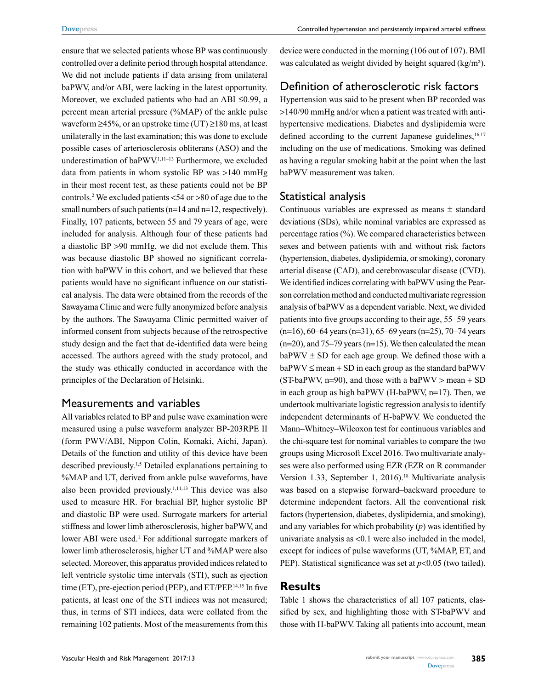ensure that we selected patients whose BP was continuously controlled over a definite period through hospital attendance. We did not include patients if data arising from unilateral baPWV, and/or ABI, were lacking in the latest opportunity. Moreover, we excluded patients who had an ABI ≤0.99, a percent mean arterial pressure (%MAP) of the ankle pulse waveform  $\geq 45\%$ , or an upstroke time (UT)  $\geq 180$  ms, at least unilaterally in the last examination; this was done to exclude possible cases of arteriosclerosis obliterans (ASO) and the underestimation of baPWV.<sup>1,11-13</sup> Furthermore, we excluded data from patients in whom systolic BP was >140 mmHg in their most recent test, as these patients could not be BP controls.2 We excluded patients <54 or >80 of age due to the small numbers of such patients (n=14 and n=12, respectively). Finally, 107 patients, between 55 and 79 years of age, were included for analysis. Although four of these patients had a diastolic BP >90 mmHg, we did not exclude them. This was because diastolic BP showed no significant correlation with baPWV in this cohort, and we believed that these patients would have no significant influence on our statistical analysis. The data were obtained from the records of the Sawayama Clinic and were fully anonymized before analysis by the authors. The Sawayama Clinic permitted waiver of informed consent from subjects because of the retrospective study design and the fact that de-identified data were being accessed. The authors agreed with the study protocol, and the study was ethically conducted in accordance with the principles of the Declaration of Helsinki.

### Measurements and variables

All variables related to BP and pulse wave examination were measured using a pulse waveform analyzer BP-203RPE II (form PWV/ABI, Nippon Colin, Komaki, Aichi, Japan). Details of the function and utility of this device have been described previously.1,5 Detailed explanations pertaining to %MAP and UT, derived from ankle pulse waveforms, have also been provided previously.1,11,13 This device was also used to measure HR. For brachial BP, higher systolic BP and diastolic BP were used. Surrogate markers for arterial stiffness and lower limb atherosclerosis, higher baPWV, and lower ABI were used.<sup>1</sup> For additional surrogate markers of lower limb atherosclerosis, higher UT and %MAP were also selected. Moreover, this apparatus provided indices related to left ventricle systolic time intervals (STI), such as ejection time (ET), pre-ejection period (PEP), and ET/PEP.14,15 In five patients, at least one of the STI indices was not measured; thus, in terms of STI indices, data were collated from the remaining 102 patients. Most of the measurements from this

device were conducted in the morning (106 out of 107). BMI was calculated as weight divided by height squared (kg/m²).

# Definition of atherosclerotic risk factors

Hypertension was said to be present when BP recorded was >140/90 mmHg and/or when a patient was treated with antihypertensive medications. Diabetes and dyslipidemia were defined according to the current Japanese guidelines, $16,17$ including on the use of medications. Smoking was defined as having a regular smoking habit at the point when the last baPWV measurement was taken.

# Statistical analysis

Continuous variables are expressed as means ± standard deviations (SDs), while nominal variables are expressed as percentage ratios (%). We compared characteristics between sexes and between patients with and without risk factors (hypertension, diabetes, dyslipidemia, or smoking), coronary arterial disease (CAD), and cerebrovascular disease (CVD). We identified indices correlating with baPWV using the Pearson correlation method and conducted multivariate regression analysis of baPWV as a dependent variable. Next, we divided patients into five groups according to their age, 55–59 years  $(n=16)$ , 60–64 years  $(n=31)$ , 65–69 years  $(n=25)$ , 70–74 years  $(n=20)$ , and 75–79 years  $(n=15)$ . We then calculated the mean  $baPWV \pm SD$  for each age group. We defined those with a  $baPWV \leq mean + SD$  in each group as the standard baPWV (ST-baPWV, n=90), and those with a baPWV > mean + SD in each group as high baPWV (H-baPWV, n=17). Then, we undertook multivariate logistic regression analysis to identify independent determinants of H-baPWV. We conducted the Mann–Whitney–Wilcoxon test for continuous variables and the chi-square test for nominal variables to compare the two groups using Microsoft Excel 2016. Two multivariate analyses were also performed using EZR (EZR on R commander Version 1.33, September 1, 2016).<sup>18</sup> Multivariate analysis was based on a stepwise forward–backward procedure to determine independent factors. All the conventional risk factors (hypertension, diabetes, dyslipidemia, and smoking), and any variables for which probability (*p*) was identified by univariate analysis as <0.1 were also included in the model, except for indices of pulse waveforms (UT, %MAP, ET, and PEP). Statistical significance was set at *p*<0.05 (two tailed).

# **Results**

Table 1 shows the characteristics of all 107 patients, classified by sex, and highlighting those with ST-baPWV and those with H-baPWV. Taking all patients into account, mean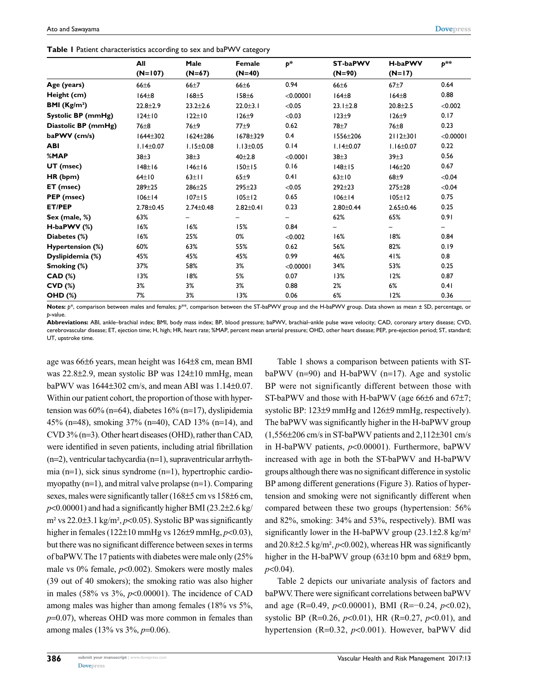**Table 1** Patient characteristics according to sex and baPWV category

|                     | All             | Male             | Female          | $p^*$     | <b>ST-baPWV</b> | H-baPWV         | $p^{**}$  |
|---------------------|-----------------|------------------|-----------------|-----------|-----------------|-----------------|-----------|
|                     | $(N=107)$       | $(N=67)$         | $(N=40)$        |           | $(N=90)$        | $(N=17)$        |           |
| Age (years)         | $66 + 6$        | $66+7$           | $66 + 6$        | 0.94      | $66 + 6$        | $67 + 7$        | 0.64      |
| Height (cm)         | $164\pm8$       | $168 \pm 5$      | 158±6           | < 0.00001 | $164\pm8$       | $164\pm8$       | 0.88      |
| BMI $(Kg/m2)$       | $22.8 + 2.9$    | $23.2 + 2.6$     | $22.0 + 3.1$    | < 0.05    | $23.1 \pm 2.8$  | $20.8 + 2.5$    | < 0.002   |
| Systolic BP (mmHg)  | $124\pm 10$     | $122 \pm 10$     | 126±9           | < 0.03    | $123\pm9$       | 126±9           | 0.17      |
| Diastolic BP (mmHg) | $76\pm8$        | 76 <sup>+9</sup> | $77+9$          | 0.62      | $78+7$          | $76\pm8$        | 0.23      |
| baPWV (cm/s)        | $1644 \pm 302$  | $1624 \pm 286$   | $1678 + 329$    | 0.4       | 1556±206        | $2112 \pm 301$  | < 0.00001 |
| <b>ABI</b>          | $1.14 \pm 0.07$ | $1.15 \pm 0.08$  | $1.13 \pm 0.05$ | 0.14      | $1.14 \pm 0.07$ | $1.16 \pm 0.07$ | 0.22      |
| %MAP                | $38 + 3$        | $38 + 3$         | $40 + 2.8$      | < 0.0001  | $38 + 3$        | 39±3            | 0.56      |
| UT (msec)           | $148 \pm 16$    | 146±16           | 150±15          | 0.16      | $148 \pm 15$    | $146 + 20$      | 0.67      |
| HR (bpm)            | $64\pm10$       | $63 \pm 11$      | 65±9            | 0.41      | $63 \pm 10$     | $68+9$          | < 0.04    |
| ET (msec)           | $289 + 25$      | $286 + 25$       | $295 + 23$      | < 0.05    | $292 + 23$      | $275 + 28$      | < 0.04    |
| PEP (msec)          | 106±14          | $107 \pm 15$     | $105 \pm 12$    | 0.65      | $106 \pm 14$    | $105 \pm 12$    | 0.75      |
| <b>ET/PEP</b>       | $2.78 \pm 0.45$ | $2.74 \pm 0.48$  | $2.82 \pm 0.41$ | 0.23      | $2.80 \pm 0.44$ | $2.65 \pm 0.46$ | 0.25      |
| Sex (male, %)       | 63%             |                  | —               | -         | 62%             | 65%             | 0.91      |
| $H$ -baPWV $(%)$    | 16%             | 16%              | 15%             | 0.84      |                 |                 |           |
| Diabetes (%)        | 16%             | 25%              | 0%              | < 0.002   | 16%             | 18%             | 0.84      |
| Hypertension (%)    | 60%             | 63%              | 55%             | 0.62      | 56%             | 82%             | 0.19      |
| Dyslipidemia (%)    | 45%             | 45%              | 45%             | 0.99      | 46%             | 41%             | 0.8       |
| Smoking (%)         | 37%             | 58%              | 3%              | < 0.00001 | 34%             | 53%             | 0.25      |
| <b>CAD (%)</b>      | 13%             | 18%              | 5%              | 0.07      | 13%             | 12%             | 0.87      |
| <b>CVD (%)</b>      | 3%              | 3%               | 3%              | 0.88      | 2%              | 6%              | 0.41      |
| <b>OHD (%)</b>      | 7%              | 3%               | 13%             | 0.06      | 6%              | 12%             | 0.36      |

**Notes:** *p*\*, comparison between males and females; *p*\*\*, comparison between the ST-baPWV group and the H-baPWV group. Data shown as mean ± SD, percentage, or *p*-value.

**Abbreviations:** ABI, ankle–brachial index; BMI, body mass index; BP, blood pressure; baPWV, brachial–ankle pulse wave velocity; CAD, coronary artery disease; CVD, cerebrovascular disease; ET, ejection time; H, high; HR, heart rate; %MAP, percent mean arterial pressure; OHD, other heart disease; PEP, pre-ejection period; ST, standard; UT, upstroke time.

age was 66±6 years, mean height was 164±8 cm, mean BMI was 22.8±2.9, mean systolic BP was 124±10 mmHg, mean baPWV was 1644±302 cm/s, and mean ABI was 1.14±0.07. Within our patient cohort, the proportion of those with hypertension was 60% (n=64), diabetes 16% (n=17), dyslipidemia 45% (n=48), smoking 37% (n=40), CAD 13% (n=14), and CVD 3% (n=3). Other heart diseases (OHD), rather than CAD, were identified in seven patients, including atrial fibrillation (n=2), ventricular tachycardia (n=1), supraventricular arrhythmia (n=1), sick sinus syndrome (n=1), hypertrophic cardiomyopathy (n=1), and mitral valve prolapse (n=1). Comparing sexes, males were significantly taller (168 $\pm$ 5 cm vs 158 $\pm$ 6 cm,  $p$ <0.00001) and had a significantly higher BMI (23.2 $\pm$ 2.6 kg/ m² vs 22.0±3.1 kg/m², *p*<0.05). Systolic BP was significantly higher in females (122±10 mmHg vs 126±9 mmHg, *p*<0.03), but there was no significant difference between sexes in terms of baPWV. The 17 patients with diabetes were male only (25% male vs 0% female, *p*<0.002). Smokers were mostly males (39 out of 40 smokers); the smoking ratio was also higher in males (58% vs 3%, *p*<0.00001). The incidence of CAD among males was higher than among females (18% vs 5%, *p*=0.07), whereas OHD was more common in females than among males (13% vs 3%, *p*=0.06).

Table 1 shows a comparison between patients with STbaPWV ( $n=90$ ) and H-baPWV ( $n=17$ ). Age and systolic BP were not significantly different between those with ST-baPWV and those with H-baPWV (age 66±6 and 67±7; systolic BP: 123±9 mmHg and 126±9 mmHg, respectively). The baPWV was significantly higher in the H-baPWV group  $(1,556\pm206$  cm/s in ST-baPWV patients and  $2,112\pm301$  cm/s in H-baPWV patients, *p*<0.00001). Furthermore, baPWV increased with age in both the ST-baPWV and H-baPWV groups although there was no significant difference in systolic BP among different generations (Figure 3). Ratios of hypertension and smoking were not significantly different when compared between these two groups (hypertension: 56% and 82%, smoking: 34% and 53%, respectively). BMI was significantly lower in the H-baPWV group (23.1±2.8 kg/m<sup>2</sup>) and  $20.8\pm2.5$  kg/m<sup>2</sup>,  $p<0.002$ ), whereas HR was significantly higher in the H-baPWV group (63±10 bpm and 68±9 bpm, *p*<0.04).

Table 2 depicts our univariate analysis of factors and baPWV. There were significant correlations between baPWV and age (R=0.49, *p*<0.00001), BMI (R=−0.24, *p*<0.02), systolic BP (R=0.26, *p*<0.01), HR (R=0.27, *p*<0.01), and hypertension (R=0.32, *p*<0.001). However, baPWV did

**386**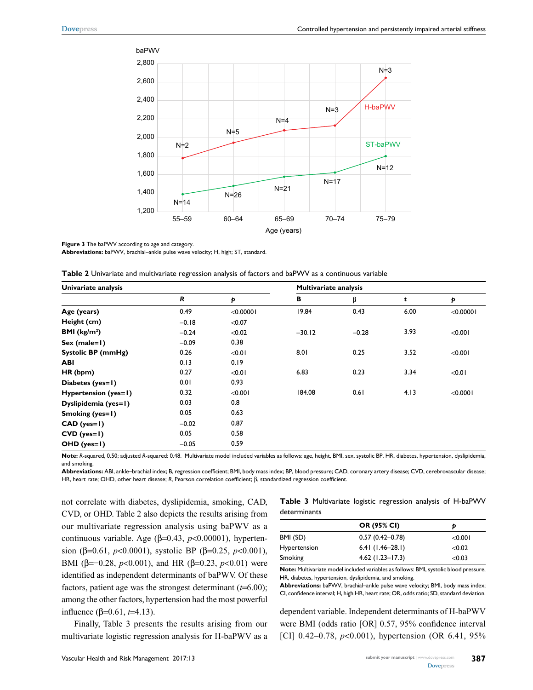

#### **Figure 3** The baPWV according to age and category.

**Abbreviations:** baPWV, brachial–ankle pulse wave velocity; H, high; ST, standard.

| Univariate analysis    |             |           | <b>Multivariate analysis</b> |         |      |              |
|------------------------|-------------|-----------|------------------------------|---------|------|--------------|
|                        | $\mathbf R$ | Þ         | в                            | β       | t    | Þ            |
| Age (years)            | 0.49        | < 0.00001 | 19.84                        | 0.43    | 6.00 | $<$ 0.0000 l |
| Height (cm)            | $-0.18$     | < 0.07    |                              |         |      |              |
| <b>BMI</b> ( $kg/m2$ ) | $-0.24$     | < 0.02    | $-30.12$                     | $-0.28$ | 3.93 | < 0.001      |
| $Sex (male=1)$         | $-0.09$     | 0.38      |                              |         |      |              |
| Systolic BP (mmHg)     | 0.26        | < 0.01    | 8.01                         | 0.25    | 3.52 | < 0.001      |
| <b>ABI</b>             | 0.13        | 0.19      |                              |         |      |              |
| HR (bpm)               | 0.27        | < 0.01    | 6.83                         | 0.23    | 3.34 | < 0.01       |
| Diabetes (yes=1)       | 0.01        | 0.93      |                              |         |      |              |
| Hypertension (yes=1)   | 0.32        | < 0.001   | 184.08                       | 0.61    | 4.13 | < 0.0001     |
| Dyslipidemia (yes=1)   | 0.03        | 0.8       |                              |         |      |              |
| Smoking (yes=1)        | 0.05        | 0.63      |                              |         |      |              |
| $CAD$ (yes=1)          | $-0.02$     | 0.87      |                              |         |      |              |
| $CVD$ (yes=1)          | 0.05        | 0.58      |                              |         |      |              |
| $OHD (yes=1)$          | $-0.05$     | 0.59      |                              |         |      |              |

**Note:** *R*-squared, 0.50; adjusted *R*-squared: 0.48. Multivariate model included variables as follows: age, height, BMI, sex, systolic BP, HR, diabetes, hypertension, dyslipidemia, and smoking.

**Abbreviations:** ABI, ankle–brachial index; B, regression coefficient; BMI, body mass index; BP, blood pressure; CAD, coronary artery disease; CVD, cerebrovascular disease; HR, heart rate; OHD, other heart disease; *R*, Pearson correlation coefficient; β, standardized regression coefficient.

not correlate with diabetes, dyslipidemia, smoking, CAD, CVD, or OHD. Table 2 also depicts the results arising from our multivariate regression analysis using baPWV as a continuous variable. Age (β=0.43, *p*<0.00001), hypertension (β=0.61, *p*<0.0001), systolic BP (β=0.25, *p*<0.001), BMI (β=–0.28, *p*<0.001), and HR (β=0.23, *p*<0.01) were identified as independent determinants of baPWV. Of these factors, patient age was the strongest determinant (*t*=6.00); among the other factors, hypertension had the most powerful influence (β=0.61, *t*=4.13).

Finally, Table 3 presents the results arising from our multivariate logistic regression analysis for H-baPWV as a

#### **Table 3** Multivariate logistic regression analysis of H-baPWV determinants

|              | OR (95% CI)         | Ð          |  |  |
|--------------|---------------------|------------|--|--|
| BMI (SD)     | $0.57(0.42 - 0.78)$ | $<$ 0.00 l |  |  |
| Hypertension | $6.41(1.46-28.1)$   | < 0.02     |  |  |
| Smoking      | $4.62$ (1.23–17.3)  | < 0.03     |  |  |

**Note:** Multivariate model included variables as follows: BMI, systolic blood pressure, HR, diabetes, hypertension, dyslipidemia, and smoking.

**Abbreviations:** baPWV, brachial–ankle pulse wave velocity; BMI, body mass index; CI, confidence interval; H, high HR, heart rate; OR, odds ratio; SD, standard deviation.

dependent variable. Independent determinants of H-baPWV were BMI (odds ratio [OR] 0.57, 95% confidence interval [CI] 0.42–0.78, *p*<0.001), hypertension (OR 6.41, 95%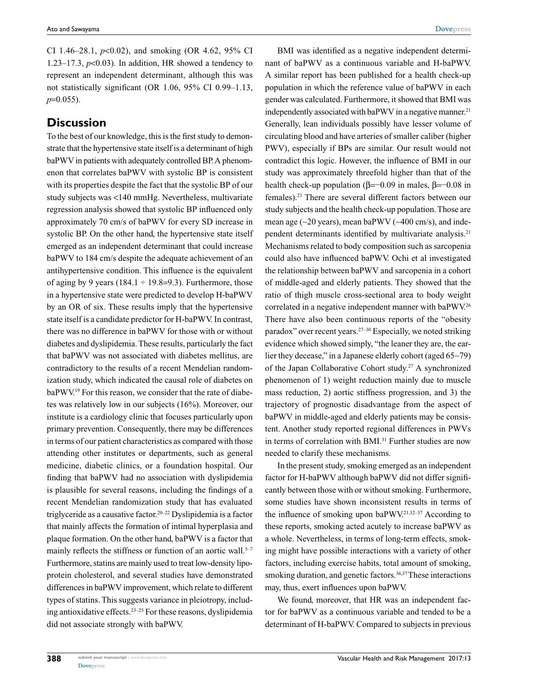CI 1.46–28.1, *p*<0.02), and smoking (OR 4.62, 95% CI 1.23–17.3,  $p<0.03$ ). In addition, HR showed a tendency to represent an independent determinant, although this was not statistically significant (OR 1.06, 95% CI 0.99–1.13, *p*=0.055).

# **Discussion**

To the best of our knowledge, this is the first study to demonstrate that the hypertensive state itself is a determinant of high baPWV in patients with adequately controlled BP. A phenomenon that correlates baPWV with systolic BP is consistent with its properties despite the fact that the systolic BP of our study subjects was <140 mmHg. Nevertheless, multivariate regression analysis showed that systolic BP influenced only approximately 70 cm/s of baPWV for every SD increase in systolic BP. On the other hand, the hypertensive state itself emerged as an independent determinant that could increase baPWV to 184 cm/s despite the adequate achievement of an antihypertensive condition. This influence is the equivalent of aging by 9 years (184.1  $\div$  19.8=9.3). Furthermore, those in a hypertensive state were predicted to develop H-baPWV by an OR of six. These results imply that the hypertensive state itself is a candidate predictor for H-baPWV. In contrast, there was no difference in baPWV for those with or without diabetes and dyslipidemia. These results, particularly the fact that baPWV was not associated with diabetes mellitus, are contradictory to the results of a recent Mendelian randomization study, which indicated the causal role of diabetes on baPWV.<sup>19</sup> For this reason, we consider that the rate of diabetes was relatively low in our subjects (16%). Moreover, our institute is a cardiology clinic that focuses particularly upon primary prevention. Consequently, there may be differences in terms of our patient characteristics as compared with those attending other institutes or departments, such as general medicine, diabetic clinics, or a foundation hospital. Our finding that baPWV had no association with dyslipidemia is plausible for several reasons, including the findings of a recent Mendelian randomization study that has evaluated triglyceride as a causative factor.<sup>20–22</sup> Dyslipidemia is a factor that mainly affects the formation of intimal hyperplasia and plaque formation. On the other hand, baPWV is a factor that mainly reflects the stiffness or function of an aortic wall. $5-7$ Furthermore, statins are mainly used to treat low-density lipoprotein cholesterol, and several studies have demonstrated differences in baPWV improvement, which relate to different types of statins. This suggests variance in pleiotropy, including antioxidative effects.23–25 For these reasons, dyslipidemia did not associate strongly with baPWV.

BMI was identified as a negative independent determinant of baPWV as a continuous variable and H-baPWV. A similar report has been published for a health check-up population in which the reference value of baPWV in each gender was calculated. Furthermore, it showed that BMI was independently associated with baPWV in a negative manner.<sup>21</sup> Generally, lean individuals possibly have lesser volume of circulating blood and have arteries of smaller caliber (higher PWV), especially if BPs are similar. Our result would not contradict this logic. However, the influence of BMI in our study was approximately threefold higher than that of the health check-up population (β=−0.09 in males, β=−0.08 in females).21 There are several different factors between our study subjects and the health check-up population. Those are mean age  $(-20 \text{ years})$ , mean baPWV  $(-400 \text{ cm/s})$ , and independent determinants identified by multivariate analysis.<sup>21</sup> Mechanisms related to body composition such as sarcopenia could also have influenced baPWV. Ochi et al investigated the relationship between baPWV and sarcopenia in a cohort of middle-aged and elderly patients. They showed that the ratio of thigh muscle cross-sectional area to body weight correlated in a negative independent manner with baPWV.26 There have also been continuous reports of the "obesity paradox" over recent years.27–30 Especially, we noted striking evidence which showed simply, "the leaner they are, the earlier they decease," in a Japanese elderly cohort (aged 65~79) of the Japan Collaborative Cohort study.<sup>27</sup> A synchronized phenomenon of 1) weight reduction mainly due to muscle mass reduction, 2) aortic stiffness progression, and 3) the trajectory of prognostic disadvantage from the aspect of baPWV in middle-aged and elderly patients may be consistent. Another study reported regional differences in PWVs in terms of correlation with BMI.<sup>31</sup> Further studies are now needed to clarify these mechanisms.

In the present study, smoking emerged as an independent factor for H-baPWV although baPWV did not differ significantly between those with or without smoking. Furthermore, some studies have shown inconsistent results in terms of the influence of smoking upon baPWV.21,32–37 According to these reports, smoking acted acutely to increase baPWV as a whole. Nevertheless, in terms of long-term effects, smoking might have possible interactions with a variety of other factors, including exercise habits, total amount of smoking, smoking duration, and genetic factors.<sup>36,37</sup> These interactions may, thus, exert influences upon baPWV.

We found, moreover, that HR was an independent factor for baPWV as a continuous variable and tended to be a determinant of H-baPWV. Compared to subjects in previous

**388**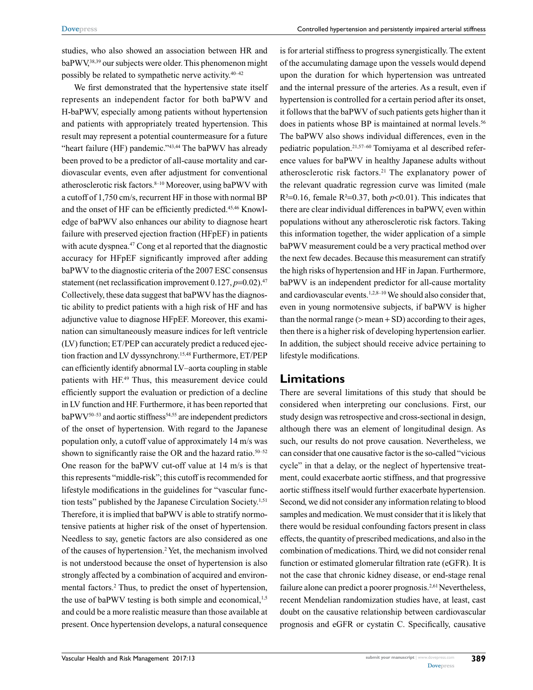studies, who also showed an association between HR and baPWV,38,39 our subjects were older. This phenomenon might possibly be related to sympathetic nerve activity.40–42

We first demonstrated that the hypertensive state itself represents an independent factor for both baPWV and H-baPWV, especially among patients without hypertension and patients with appropriately treated hypertension. This result may represent a potential countermeasure for a future "heart failure (HF) pandemic."43,44 The baPWV has already been proved to be a predictor of all-cause mortality and cardiovascular events, even after adjustment for conventional atherosclerotic risk factors.8–10 Moreover, using baPWV with a cutoff of 1,750 cm/s, recurrent HF in those with normal BP and the onset of HF can be efficiently predicted.45,46 Knowledge of baPWV also enhances our ability to diagnose heart failure with preserved ejection fraction (HFpEF) in patients with acute dyspnea.<sup>47</sup> Cong et al reported that the diagnostic accuracy for HFpEF significantly improved after adding baPWV to the diagnostic criteria of the 2007 ESC consensus statement (net reclassification improvement 0.127, *p*=0.02).<sup>47</sup> Collectively, these data suggest that baPWV has the diagnostic ability to predict patients with a high risk of HF and has adjunctive value to diagnose HFpEF. Moreover, this examination can simultaneously measure indices for left ventricle (LV) function; ET/PEP can accurately predict a reduced ejection fraction and LV dyssynchrony.15,48 Furthermore, ET/PEP can efficiently identify abnormal LV–aorta coupling in stable patients with HF.49 Thus, this measurement device could efficiently support the evaluation or prediction of a decline in LV function and HF. Furthermore, it has been reported that  $baPWV^{50-53}$  and aortic stiffness<sup>54,55</sup> are independent predictors of the onset of hypertension. With regard to the Japanese population only, a cutoff value of approximately 14 m/s was shown to significantly raise the OR and the hazard ratio. $50-52$ One reason for the baPWV cut-off value at 14 m/s is that this represents "middle-risk"; this cutoff is recommended for lifestyle modifications in the guidelines for "vascular function tests" published by the Japanese Circulation Society.<sup>1,51</sup> Therefore, it is implied that baPWV is able to stratify normotensive patients at higher risk of the onset of hypertension. Needless to say, genetic factors are also considered as one of the causes of hypertension.<sup>2</sup> Yet, the mechanism involved is not understood because the onset of hypertension is also strongly affected by a combination of acquired and environmental factors.<sup>2</sup> Thus, to predict the onset of hypertension, the use of baPWV testing is both simple and economical, $1,5$ and could be a more realistic measure than those available at present. Once hypertension develops, a natural consequence

is for arterial stiffness to progress synergistically. The extent of the accumulating damage upon the vessels would depend upon the duration for which hypertension was untreated and the internal pressure of the arteries. As a result, even if hypertension is controlled for a certain period after its onset, it follows that the baPWV of such patients gets higher than it does in patients whose BP is maintained at normal levels.<sup>56</sup> The baPWV also shows individual differences, even in the pediatric population.21,57–60 Tomiyama et al described reference values for baPWV in healthy Japanese adults without atherosclerotic risk factors.21 The explanatory power of the relevant quadratic regression curve was limited (male  $R^2=0.16$ , female  $R^2=0.37$ , both  $p<0.01$ ). This indicates that there are clear individual differences in baPWV, even within populations without any atherosclerotic risk factors. Taking this information together, the wider application of a simple baPWV measurement could be a very practical method over the next few decades. Because this measurement can stratify the high risks of hypertension and HF in Japan. Furthermore, baPWV is an independent predictor for all-cause mortality and cardiovascular events.<sup>1,2,8-10</sup> We should also consider that, even in young normotensive subjects, if baPWV is higher than the normal range  $(>=$  mean  $+$  SD) according to their ages, then there is a higher risk of developing hypertension earlier. In addition, the subject should receive advice pertaining to lifestyle modifications.

# **Limitations**

There are several limitations of this study that should be considered when interpreting our conclusions. First, our study design was retrospective and cross-sectional in design, although there was an element of longitudinal design. As such, our results do not prove causation. Nevertheless, we can consider that one causative factor is the so-called "vicious cycle" in that a delay, or the neglect of hypertensive treatment, could exacerbate aortic stiffness, and that progressive aortic stiffness itself would further exacerbate hypertension. Second, we did not consider any information relating to blood samples and medication. We must consider that it is likely that there would be residual confounding factors present in class effects, the quantity of prescribed medications, and also in the combination of medications. Third, we did not consider renal function or estimated glomerular filtration rate (eGFR). It is not the case that chronic kidney disease, or end-stage renal failure alone can predict a poorer prognosis.<sup>2,61</sup> Nevertheless, recent Mendelian randomization studies have, at least, cast doubt on the causative relationship between cardiovascular prognosis and eGFR or cystatin C. Specifically, causative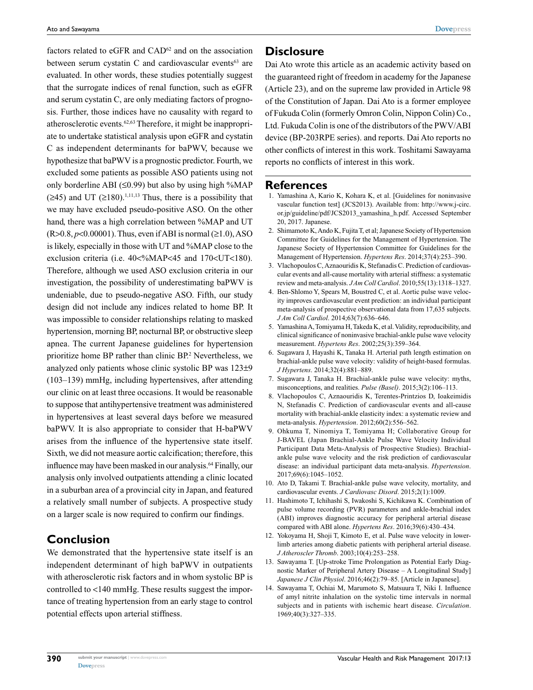factors related to eGFR and CAD<sup>62</sup> and on the association between serum cystatin C and cardiovascular events $63$  are evaluated. In other words, these studies potentially suggest that the surrogate indices of renal function, such as eGFR and serum cystatin C, are only mediating factors of prognosis. Further, those indices have no causality with regard to atherosclerotic events.62,63 Therefore, it might be inappropriate to undertake statistical analysis upon eGFR and cystatin C as independent determinants for baPWV, because we hypothesize that baPWV is a prognostic predictor. Fourth, we excluded some patients as possible ASO patients using not only borderline ABI ( $\leq$ 0.99) but also by using high %MAP  $(\geq 45)$  and UT  $(\geq 180)$ , <sup>1,11,13</sup> Thus, there is a possibility that we may have excluded pseudo-positive ASO. On the other hand, there was a high correlation between %MAP and UT  $(R>0.8, p<0.00001)$ . Thus, even if ABI is normal  $(≥1.0)$ , ASO is likely, especially in those with UT and %MAP close to the exclusion criteria (i.e.  $40<\frac{9}{4}MR < 45$  and  $170< UT < 180$ ). Therefore, although we used ASO exclusion criteria in our investigation, the possibility of underestimating baPWV is undeniable, due to pseudo-negative ASO. Fifth, our study design did not include any indices related to home BP. It was impossible to consider relationships relating to masked hypertension, morning BP, nocturnal BP, or obstructive sleep apnea. The current Japanese guidelines for hypertension prioritize home BP rather than clinic BP.<sup>2</sup> Nevertheless, we analyzed only patients whose clinic systolic BP was 123±9 (103–139) mmHg, including hypertensives, after attending our clinic on at least three occasions. It would be reasonable to suppose that antihypertensive treatment was administered in hypertensives at least several days before we measured baPWV. It is also appropriate to consider that H-baPWV arises from the influence of the hypertensive state itself. Sixth, we did not measure aortic calcification; therefore, this influence may have been masked in our analysis.64 Finally, our analysis only involved outpatients attending a clinic located in a suburban area of a provincial city in Japan, and featured a relatively small number of subjects. A prospective study on a larger scale is now required to confirm our findings.

# **Conclusion**

We demonstrated that the hypertensive state itself is an independent determinant of high baPWV in outpatients with atherosclerotic risk factors and in whom systolic BP is controlled to <140 mmHg. These results suggest the importance of treating hypertension from an early stage to control potential effects upon arterial stiffness.

# **Disclosure**

Dai Ato wrote this article as an academic activity based on the guaranteed right of freedom in academy for the Japanese (Article 23), and on the supreme law provided in Article 98 of the Constitution of Japan. Dai Ato is a former employee of Fukuda Colin (formerly Omron Colin, Nippon Colin) Co., Ltd. Fukuda Colin is one of the distributors of the PWV/ABI device (BP-203RPE series). and reports. Dai Ato reports no other conflicts of interest in this work. Toshitami Sawayama reports no conflicts of interest in this work.

#### **References**

- 1. Yamashina A, Kario K, Kohara K, et al. [Guidelines for noninvasive vascular function test] (JCS2013). Available from: http://www.j-circ. or.jp/guideline/pdf/JCS2013\_yamashina\_h.pdf. Accessed September 20, 2017. Japanese.
- 2. Shimamoto K, Ando K, Fujita T, et al; Japanese Society of Hypertension Committee for Guidelines for the Management of Hypertension. The Japanese Society of Hypertension Committee for Guidelines for the Management of Hypertension. *Hypertens Res*. 2014;37(4):253–390.
- 3. Vlachopoulos C, Aznaouridis K, Stefanadis C. Prediction of cardiovascular events and all-cause mortality with arterial stiffness: a systematic review and meta-analysis. *J Am Coll Cardiol*. 2010;55(13):1318–1327.
- 4. Ben-Shlomo Y, Spears M, Boustred C, et al. Aortic pulse wave velocity improves cardiovascular event prediction: an individual participant meta-analysis of prospective observational data from 17,635 subjects. *J Am Coll Cardiol*. 2014;63(7):636–646.
- 5. Yamashina A, Tomiyama H, Takeda K, et al. Validity, reproducibility, and clinical significance of noninvasive brachial-ankle pulse wave velocity measurement. *Hypertens Res*. 2002;25(3):359–364.
- 6. Sugawara J, Hayashi K, Tanaka H. Arterial path length estimation on brachial-ankle pulse wave velocity: validity of height-based formulas. *J Hypertens*. 2014;32(4):881–889.
- 7. Sugawara J, Tanaka H. Brachial-ankle pulse wave velocity: myths, misconceptions, and realities. *Pulse (Basel)*. 2015;3(2):106–113.
- 8. Vlachopoulos C, Aznaouridis K, Terentes-Printzios D, Ioakeimidis N, Stefanadis C. Prediction of cardiovascular events and all-cause mortality with brachial-ankle elasticity index: a systematic review and meta-analysis. *Hypertension*. 2012;60(2):556–562.
- 9. Ohkuma T, Ninomiya T, Tomiyama H; Collaborative Group for J-BAVEL (Japan Brachial-Ankle Pulse Wave Velocity Individual Participant Data Meta-Analysis of Prospective Studies). Brachialankle pulse wave velocity and the risk prediction of cardiovascular disease: an individual participant data meta-analysis. *Hypertension*. 2017;69(6):1045–1052.
- 10. Ato D, Takami T. Brachial-ankle pulse wave velocity, mortality, and cardiovascular events. *J Cardiovasc Disord*. 2015;2(1):1009.
- 11. Hashimoto T, Ichihashi S, Iwakoshi S, Kichikawa K. Combination of pulse volume recording (PVR) parameters and ankle-brachial index (ABI) improves diagnostic accuracy for peripheral arterial disease compared with ABI alone. *Hypertens Res*. 2016;39(6):430–434.
- 12. Yokoyama H, Shoji T, Kimoto E, et al. Pulse wave velocity in lowerlimb arteries among diabetic patients with peripheral arterial disease. *J Atheroscler Thromb*. 2003;10(4):253–258.
- 13. Sawayama T. [Up-stroke Time Prolongation as Potential Early Diagnostic Marker of Peripheral Artery Disease – A Longitudinal Study] *Japanese J Clin Physiol*. 2016;46(2):79–85. [Article in Japanese].
- 14. Sawayama T, Ochiai M, Marumoto S, Matsuura T, Niki I. Influence of amyl nitrite inhalation on the systolic time intervals in normal subjects and in patients with ischemic heart disease. *Circulation*. 1969;40(3):327–335.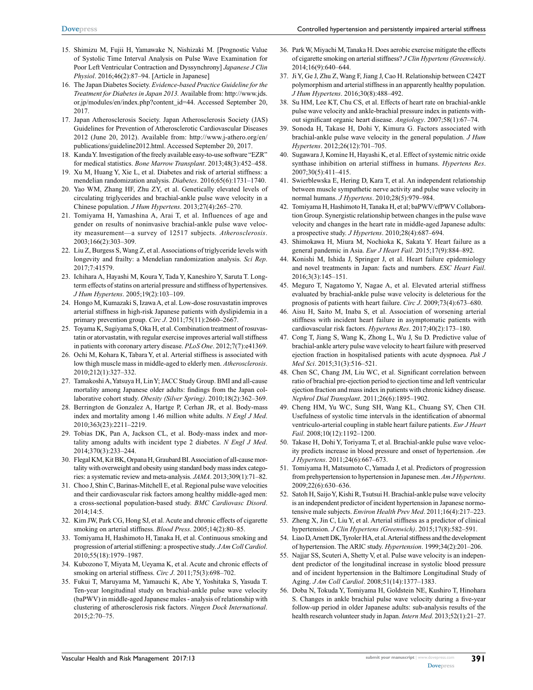- 15. Shimizu M, Fujii H, Yamawake N, Nishizaki M. [Prognostic Value of Systolic Time Interval Analysis on Pulse Wave Examination for Poor Left Ventricular Contraction and Dyssynchrony] *Japanese J Clin Physiol*. 2016;46(2):87–94. [Article in Japanese]
- 16. The Japan Diabetes Society. *Evidence-based Practice Guideline for the Treatment for Diabetes in Japan 2013.* Available from: http://www.jds. or.jp/modules/en/index.php?content\_id=44. Accessed September 20, 2017.
- 17. Japan Atherosclerosis Society. Japan Atherosclerosis Society (JAS) Guidelines for Prevention of Atherosclerotic Cardiovascular Diseases 2012 (June 20, 2012). Available from: http://www.j-athero.org/en/ publications/guideline2012.html. Accessed September 20, 2017.
- 18. Kanda Y. Investigation of the freely available easy-to-use software "EZR" for medical statistics. *Bone Marrow Transplant*. 2013;48(3):452–458.
- 19. Xu M, Huang Y, Xie L, et al. Diabetes and risk of arterial stiffness: a mendelian randomization analysis. *Diabetes*. 2016;65(6):1731–1740.
- 20. Yao WM, Zhang HF, Zhu ZY, et al. Genetically elevated levels of circulating triglycerides and brachial-ankle pulse wave velocity in a Chinese population. *J Hum Hypertens*. 2013;27(4):265–270.
- 21. Tomiyama H, Yamashina A, Arai T, et al. Influences of age and gender on results of noninvasive brachial-ankle pulse wave velocity measurement—a survey of 12517 subjects. *Atherosclerosis*. 2003;166(2):303–309.
- 22. Liu Z, Burgess S, Wang Z, et al. Associations of triglyceride levels with longevity and frailty: a Mendelian randomization analysis. *Sci Rep*. 2017;7:41579.
- 23. Ichihara A, Hayashi M, Koura Y, Tada Y, Kaneshiro Y, Saruta T. Longterm effects of statins on arterial pressure and stiffness of hypertensives. *J Hum Hypertens*. 2005;19(2):103–109.
- 24. Hongo M, Kumazaki S, Izawa A, et al. Low-dose rosuvastatin improves arterial stiffness in high-risk Japanese patients with dyslipidemia in a primary prevention group. *Circ J*. 2011;75(11):2660–2667.
- 25. Toyama K, Sugiyama S, Oka H, et al. Combination treatment of rosuvastatin or atorvastatin, with regular exercise improves arterial wall stiffness in patients with coronary artery disease. *PLoS One*. 2012;7(7):e41369.
- 26. Ochi M, Kohara K, Tabara Y, et al. Arterial stiffness is associated with low thigh muscle mass in middle-aged to elderly men. *Atherosclerosis*. 2010;212(1):327–332.
- 27. Tamakoshi A, Yatsuya H, Lin Y; JACC Study Group. BMI and all-cause mortality among Japanese older adults: findings from the Japan collaborative cohort study. *Obesity (Silver Spring)*. 2010;18(2):362–369.
- 28. Berrington de Gonzalez A, Hartge P, Cerhan JR, et al. Body-mass index and mortality among 1.46 million white adults. *N Engl J Med*. 2010;363(23):2211–2219.
- 29. Tobias DK, Pan A, Jackson CL, et al. Body-mass index and mortality among adults with incident type 2 diabetes. *N Engl J Med*. 2014;370(3):233–244.
- 30. Flegal KM, Kit BK, Orpana H, Graubard BI. Association of all-cause mortality with overweight and obesity using standard body mass index categories: a systematic review and meta-analysis. *JAMA*. 2013;309(1):71–82.
- 31. Choo J, Shin C, Barinas-Mitchell E, et al. Regional pulse wave velocities and their cardiovascular risk factors among healthy middle-aged men: a cross-sectional population-based study. *BMC Cardiovasc Disord*. 2014;14:5.
- 32. Kim JW, Park CG, Hong SJ, et al. Acute and chronic effects of cigarette smoking on arterial stiffness. *Blood Press*. 2005;14(2):80–85.
- 33. Tomiyama H, Hashimoto H, Tanaka H, et al. Continuous smoking and progression of arterial stiffening: a prospective study. *J Am Coll Cardiol*. 2010;55(18):1979–1987.
- 34. Kubozono T, Miyata M, Ueyama K, et al. Acute and chronic effects of smoking on arterial stiffness. *Circ J*. 2011;75(3):698–702.
- 35. Fukui T, Maruyama M, Yamauchi K, Abe Y, Yoshitaka S, Yasuda T. Ten-year longitudinal study on brachial-ankle pulse wave velocity (baPWV) in middle-aged Japanese males - analysis of relationship with clustering of atherosclerosis risk factors. *Ningen Dock International*. 2015;2:70–75.
- 36. Park W, Miyachi M, Tanaka H. Does aerobic exercise mitigate the effects of cigarette smoking on arterial stiffness? *J Clin Hypertens (Greenwich)*. 2014;16(9):640–644.
- 37. Ji Y, Ge J, Zhu Z, Wang F, Jiang J, Cao H. Relationship between C242T polymorphism and arterial stiffness in an apparently healthy population. *J Hum Hypertens*. 2016;30(8):488–492.
- 38. Su HM, Lee KT, Chu CS, et al. Effects of heart rate on brachial-ankle pulse wave velocity and ankle-brachial pressure index in patients without significant organic heart disease. *Angiology*. 2007;58(1):67–74.
- 39. Sonoda H, Takase H, Dohi Y, Kimura G. Factors associated with brachial-ankle pulse wave velocity in the general population. *J Hum Hypertens*. 2012;26(12):701–705.
- 40. Sugawara J, Komine H, Hayashi K, et al. Effect of systemic nitric oxide synthase inhibition on arterial stiffness in humans. *Hypertens Res*. 2007;30(5):411–415.
- 41. Swierblewska E, Hering D, Kara T, et al. An independent relationship between muscle sympathetic nerve activity and pulse wave velocity in normal humans. *J Hypertens*. 2010;28(5):979–984.
- 42. Tomiyama H, Hashimoto H, Tanaka H, et al; baPWV/cfPWV Collaboration Group. Synergistic relationship between changes in the pulse wave velocity and changes in the heart rate in middle-aged Japanese adults: a prospective study. *J Hypertens*. 2010;28(4):687–694.
- 43. Shimokawa H, Miura M, Nochioka K, Sakata Y. Heart failure as a general pandemic in Asia. *Eur J Heart Fail*. 2015;17(9):884–892.
- 44. Konishi M, Ishida J, Springer J, et al. Heart failure epidemiology and novel treatments in Japan: facts and numbers. *ESC Heart Fail*. 2016;3(3):145–151.
- 45. Meguro T, Nagatomo Y, Nagae A, et al. Elevated arterial stiffness evaluated by brachial-ankle pulse wave velocity is deleterious for the prognosis of patients with heart failure. *Circ J*. 2009;73(4):673–680.
- 46. Aisu H, Saito M, Inaba S, et al. Association of worsening arterial stiffness with incident heart failure in asymptomatic patients with cardiovascular risk factors. *Hypertens Res*. 2017;40(2):173–180.
- 47. Cong T, Jiang S, Wang K, Zhong L, Wu J, Su D. Predictive value of brachial-ankle artery pulse wave velocity to heart failure with preserved ejection fraction in hospitalised patients with acute dyspnoea. *Pak J Med Sci*. 2015;31(3):516–521.
- 48. Chen SC, Chang JM, Liu WC, et al. Significant correlation between ratio of brachial pre-ejection period to ejection time and left ventricular ejection fraction and mass index in patients with chronic kidney disease. *Nephrol Dial Transplant*. 2011;26(6):1895–1902.
- 49. Cheng HM, Yu WC, Sung SH, Wang KL, Chuang SY, Chen CH. Usefulness of systolic time intervals in the identification of abnormal ventriculo-arterial coupling in stable heart failure patients. *Eur J Heart Fail*. 2008;10(12):1192–1200.
- 50. Takase H, Dohi Y, Toriyama T, et al. Brachial-ankle pulse wave velocity predicts increase in blood pressure and onset of hypertension. *Am J Hypertens*. 2011;24(6):667–673.
- 51. Tomiyama H, Matsumoto C, Yamada J, et al. Predictors of progression from prehypertension to hypertension in Japanese men. *Am J Hypertens*. 2009;22(6):630–636.
- 52. Satoh H, Saijo Y, Kishi R, Tsutsui H. Brachial-ankle pulse wave velocity is an independent predictor of incident hypertension in Japanese normotensive male subjects. *Environ Health Prev Med*. 2011;16(4):217–223.
- 53. Zheng X, Jin C, Liu Y, et al. Arterial stiffness as a predictor of clinical hypertension. *J Clin Hypertens (Greenwich)*. 2015;17(8):582–591.
- 54. Liao D, Arnett DK, Tyroler HA, et al. Arterial stiffness and the development of hypertension. The ARIC study. *Hypertension*. 1999;34(2):201–206.
- 55. Najjar SS, Scuteri A, Shetty V, et al. Pulse wave velocity is an independent predictor of the longitudinal increase in systolic blood pressure and of incident hypertension in the Baltimore Longitudinal Study of Aging. *J Am Coll Cardiol*. 2008;51(14):1377–1383.
- 56. Doba N, Tokuda Y, Tomiyama H, Goldstein NE, Kushiro T, Hinohara S. Changes in ankle brachial pulse wave velocity during a five-year follow-up period in older Japanese adults: sub-analysis results of the health research volunteer study in Japan. *Intern Med*. 2013;52(1):21–27.